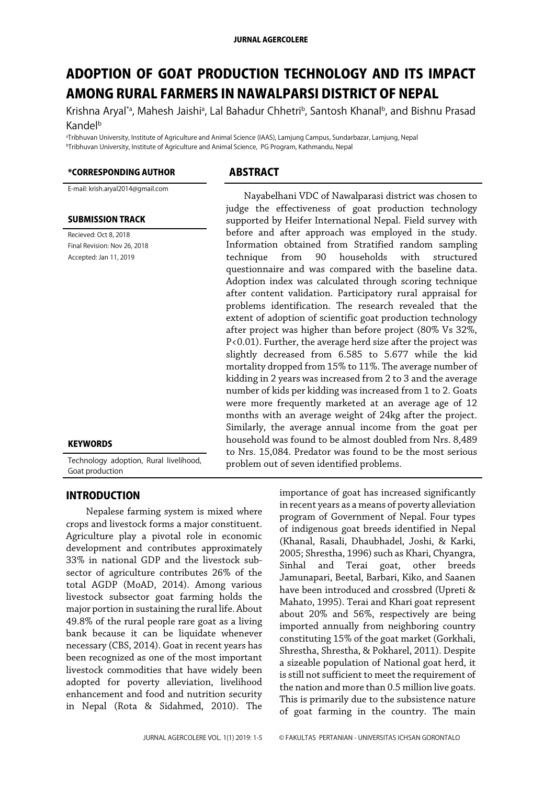# ADOPTION OF GOAT PRODUCTION TECHNOLOGY AND ITS IMPACT AMONG RURAL FARMERS IN NAWALPARSI DISTRICT OF NEPAL

Krishna Aryal<sup>ra</sup>, Mahesh Jaishi<sup>a</sup>, Lal Bahadur Chhetri<sup>b</sup>, Santosh Khanal<sup>b</sup>, and Bishnu Prasad Kandel<sup>b</sup>

aTribhuvan University, Institute of Agriculture and Animal Science (IAAS), Lamjung Campus, Sundarbazar, Lamjung, Nepal **<sup>bTribhuvan University, Institute of Agriculture and Animal Science, PG Program, Kathmandu, Nepal**</sup>

#### \*CORRESPONDING AUTHOR ABSTRACT

E-mail: krish.aryal2014@gmail.com

#### SUBMISSION TRACK

Recieved: Oct 8, 2018 Final Revision: Nov 26, 2018 Accepted: Jan 11, 2019

#### **KEYWORDS**

Technology adoption, Rural livelihood, Goat production

#### INTRODUCTION

Nepalese farming system is mixed where crops and livestock forms a major constituent. Agriculture play a pivotal role in economic development and contributes approximately 33% in national GDP and the livestock subsector of agriculture contributes 26% of the total AGDP (MoAD, 2014). Among various livestock subsector goat farming holds the major portion in sustaining the rural life. About 49.8% of the rural people rare goat as a living bank because it can be liquidate whenever necessary (CBS, 2014). Goat in recent years has been recognized as one of the most important livestock commodities that have widely been adopted for poverty alleviation, livelihood enhancement and food and nutrition security in Nepal (Rota & Sidahmed, 2010). The

Nayabelhani VDC of Nawalparasi district was chosen to judge the effectiveness of goat production technology supported by Heifer International Nepal. Field survey with before and after approach was employed in the study. Information obtained from Stratified random sampling technique from 90 households with structured questionnaire and was compared with the baseline data. Adoption index was calculated through scoring technique after content validation. Participatory rural appraisal for problems identification. The research revealed that the extent of adoption of scientific goat production technology after project was higher than before project (80% Vs 32%, P<0.01). Further, the average herd size after the project was slightly decreased from 6.585 to 5.677 while the kid mortality dropped from 15% to 11%. The average number of kidding in 2 years was increased from 2 to 3 and the average number of kids per kidding was increased from 1 to 2. Goats were more frequently marketed at an average age of 12 months with an average weight of 24kg after the project. Similarly, the average annual income from the goat per household was found to be almost doubled from Nrs. 8,489 to Nrs. 15,084. Predator was found to be the most serious problem out of seven identified problems.

> importance of goat has increased significantly in recent years as a means of poverty alleviation program of Government of Nepal. Four types of indigenous goat breeds identified in Nepal (Khanal, Rasali, Dhaubhadel, Joshi, & Karki, 2005; Shrestha, 1996) such as Khari, Chyangra, Sinhal and Terai goat, other breeds Jamunapari, Beetal, Barbari, Kiko, and Saanen have been introduced and crossbred (Upreti & Mahato, 1995). Terai and Khari goat represent about 20% and 56%, respectively are being imported annually from neighboring country constituting 15% of the goat market (Gorkhali, Shrestha, Shrestha, & Pokharel, 2011). Despite a sizeable population of National goat herd, it is still not sufficient to meet the requirement of the nation and more than 0.5 million live goats. This is primarily due to the subsistence nature of goat farming in the country. The main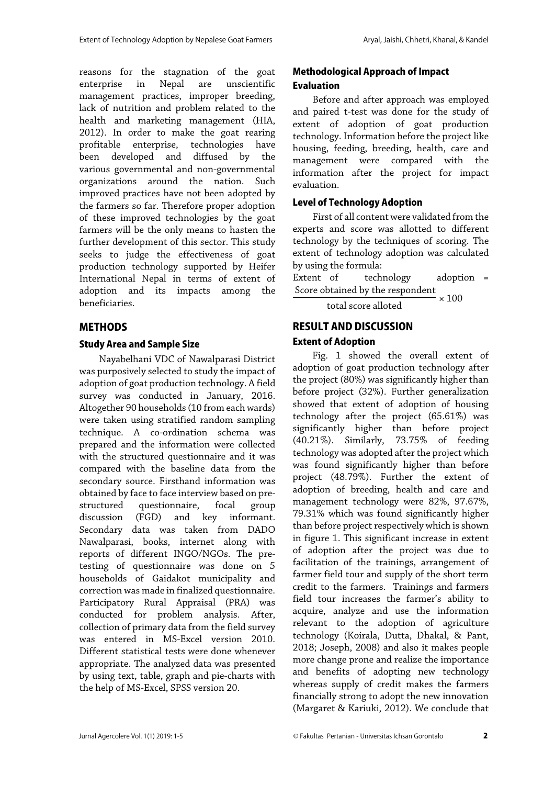reasons for the stagnation of the goat enterprise in Nepal are unscientific management practices, improper breeding, lack of nutrition and problem related to the health and marketing management (HIA, 2012). In order to make the goat rearing profitable enterprise, technologies have been developed and diffused by the various governmental and non-governmental organizations around the nation. Such improved practices have not been adopted by the farmers so far. Therefore proper adoption of these improved technologies by the goat farmers will be the only means to hasten the further development of this sector. This study seeks to judge the effectiveness of goat production technology supported by Heifer International Nepal in terms of extent of adoption and its impacts among the beneficiaries.

### METHODS

#### Study Area and Sample Size

Nayabelhani VDC of Nawalparasi District was purposively selected to study the impact of adoption of goat production technology. A field survey was conducted in January, 2016. Altogether 90 households (10 from each wards) were taken using stratified random sampling technique. A co-ordination schema was prepared and the information were collected with the structured questionnaire and it was compared with the baseline data from the secondary source. Firsthand information was obtained by face to face interview based on prestructured questionnaire, focal group discussion (FGD) and key informant. Secondary data was taken from DADO Nawalparasi, books, internet along with reports of different INGO/NGOs. The pretesting of questionnaire was done on 5 households of Gaidakot municipality and correction was made in finalized questionnaire. Participatory Rural Appraisal (PRA) was conducted for problem analysis. After, collection of primary data from the field survey was entered in MS-Excel version 2010. Different statistical tests were done whenever appropriate. The analyzed data was presented by using text, table, graph and pie-charts with the help of MS-Excel, SPSS version 20.

# Methodological Approach of Impact Evaluation

Before and after approach was employed and paired t-test was done for the study of extent of adoption of goat production technology. Information before the project like housing, feeding, breeding, health, care and management were compared with the information after the project for impact evaluation.

### Level of Technology Adoption

First of all content were validated from the experts and score was allotted to different technology by the techniques of scoring. The extent of technology adoption was calculated by using the formula:

Extent of technology adoption = Score obtained by the respondent  $\overline{\phantom{0}}$  × 100

total score alloted

## RESULT AND DISCUSSION Extent of Adoption

Fig. 1 showed the overall extent of adoption of goat production technology after the project (80%) was significantly higher than before project (32%). Further generalization showed that extent of adoption of housing technology after the project (65.61%) was significantly higher than before project (40.21%). Similarly, 73.75% of feeding technology was adopted after the project which was found significantly higher than before project (48.79%). Further the extent of adoption of breeding, health and care and management technology were 82%, 97.67%, 79.31% which was found significantly higher than before project respectively which is shown in figure 1. This significant increase in extent of adoption after the project was due to facilitation of the trainings, arrangement of farmer field tour and supply of the short term credit to the farmers. Trainings and farmers field tour increases the farmer's ability to acquire, analyze and use the information relevant to the adoption of agriculture technology (Koirala, Dutta, Dhakal, & Pant, 2018; Joseph, 2008) and also it makes people more change prone and realize the importance and benefits of adopting new technology whereas supply of credit makes the farmers financially strong to adopt the new innovation (Margaret & Kariuki, 2012). We conclude that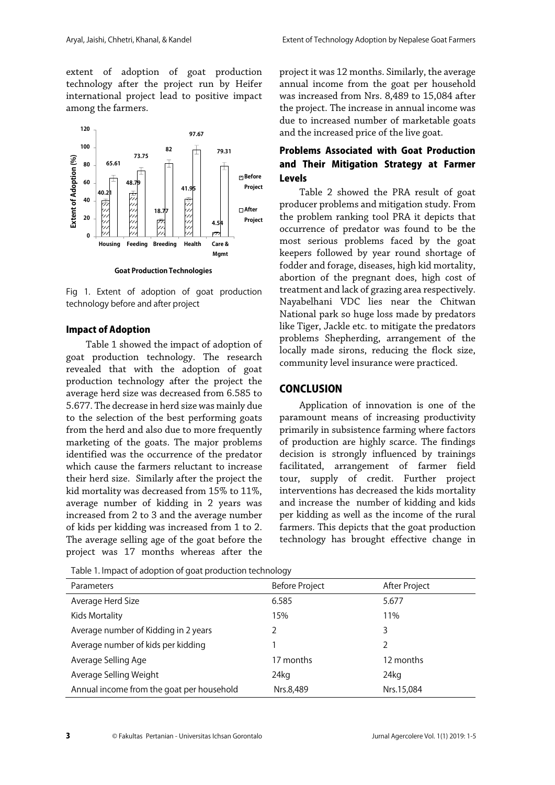extent of adoption of goat production technology after the project run by Heifer international project lead to positive impact among the farmers.



Fig 1. Extent of adoption of goat production technology before and after project

#### Impact of Adoption

Table 1 showed the impact of adoption of goat production technology. The research revealed that with the adoption of goat production technology after the project the average herd size was decreased from 6.585 to 5.677. The decrease in herd size was mainly due to the selection of the best performing goats from the herd and also due to more frequently marketing of the goats. The major problems identified was the occurrence of the predator which cause the farmers reluctant to increase their herd size. Similarly after the project the kid mortality was decreased from 15% to 11%, average number of kidding in 2 years was increased from 2 to 3 and the average number of kids per kidding was increased from 1 to 2. The average selling age of the goat before the project was 17 months whereas after the

Table 1. Impact of adoption of goat production technology Parameters **Before Project Before Project After Project After Project** Average Herd Size 6.585 5.677 Kids Mortality 11% 15% 11% 15% 11% 11% 11% 11% Average number of Kidding in 2 years 2 3 Average number of kids per kidding 1 2 2 Average Selling Age 17 months 17 months 12 months Average Selling Weight 22 and 24kg 24kg 24kg 24kg 24kg 25 and 25 and 25 and 25 and 25 and 25 and 26 and 25 and 25 and 26 and 26 and 26 and 26 and 26 and 26 and 26 and 26 and 26 and 26 and 26 and 26 and 26 and 26 and 26 and Annual income from the goat per household Nrs.8,489 Nrs.15,084

project it was 12 months. Similarly, the average annual income from the goat per household was increased from Nrs. 8,489 to 15,084 after the project. The increase in annual income was due to increased number of marketable goats and the increased price of the live goat.

# Problems Associated with Goat Production and Their Mitigation Strategy at Farmer Levels

Table 2 showed the PRA result of goat producer problems and mitigation study. From the problem ranking tool PRA it depicts that occurrence of predator was found to be the most serious problems faced by the goat keepers followed by year round shortage of fodder and forage, diseases, high kid mortality, abortion of the pregnant does, high cost of treatment and lack of grazing area respectively. Nayabelhani VDC lies near the Chitwan National park so huge loss made by predators like Tiger, Jackle etc. to mitigate the predators problems Shepherding, arrangement of the locally made sirons, reducing the flock size, community level insurance were practiced.

#### **CONCLUSION**

Application of innovation is one of the paramount means of increasing productivity primarily in subsistence farming where factors of production are highly scarce. The findings decision is strongly influenced by trainings facilitated, arrangement of farmer field tour, supply of credit. Further project interventions has decreased the kids mortality and increase the number of kidding and kids per kidding as well as the income of the rural farmers. This depicts that the goat production technology has brought effective change in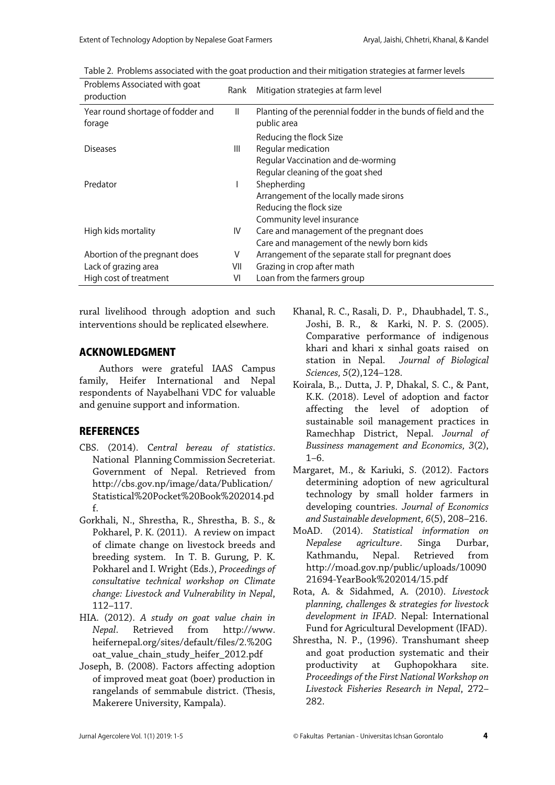| Problems Associated with goat<br>production | Rank         | Mitigation strategies at farm level                                           |
|---------------------------------------------|--------------|-------------------------------------------------------------------------------|
| Year round shortage of fodder and<br>forage | $\mathbf{I}$ | Planting of the perennial fodder in the bunds of field and the<br>public area |
|                                             |              | Reducing the flock Size                                                       |
| <b>Diseases</b>                             | Ш            | Regular medication                                                            |
|                                             |              | Regular Vaccination and de-worming                                            |
|                                             |              | Regular cleaning of the goat shed                                             |
| Predator                                    |              | Shepherding                                                                   |
|                                             |              | Arrangement of the locally made sirons                                        |
|                                             |              | Reducing the flock size                                                       |
|                                             |              | Community level insurance                                                     |
| High kids mortality                         | IV           | Care and management of the pregnant does                                      |
|                                             |              | Care and management of the newly born kids                                    |
| Abortion of the pregnant does               | ٧            | Arrangement of the separate stall for pregnant does                           |
| Lack of grazing area                        | VII          | Grazing in crop after math                                                    |
| High cost of treatment                      | VI           | Loan from the farmers group                                                   |

Table 2. Problems associated with the goat production and their mitigation strategies at farmer levels

rural livelihood through adoption and such interventions should be replicated elsewhere.

#### ACKNOWLEDGMENT

Authors were grateful IAAS Campus family, Heifer International and Nepal respondents of Nayabelhani VDC for valuable and genuine support and information.

# **REFERENCES**

- CBS. (2014). C*entral bereau of statistics*. National Planning Commission Secreteriat. Government of Nepal. Retrieved from http://cbs.gov.np/image/data/Publication/ Statistical%20Pocket%20Book%202014.pd f.
- Gorkhali, N., Shrestha, R., Shrestha, B. S., & Pokharel, P. K. (2011). A review on impact of climate change on livestock breeds and breeding system. In T. B. Gurung, P. K. Pokharel and I. Wright (Eds.), *Proceedings of consultative technical workshop on Climate change: Livestock and Vulnerability in Nepal*, 112–117.
- HIA. (2012). *A study on goat value chain in Nepal*. Retrieved from http://www. heifernepal.org/sites/default/files/2.%20G oat\_value\_chain\_study\_heifer\_2012.pdf
- Joseph, B. (2008). Factors affecting adoption of improved meat goat (boer) production in rangelands of semmabule district. (Thesis, Makerere University, Kampala).
- Khanal, R. C., Rasali, D. P., Dhaubhadel, T. S., Joshi, B. R., & Karki, N. P. S. (2005). Comparative performance of indigenous khari and khari x sinhal goats raised on station in Nepal. *Journal of Biological Sciences, 5*(2),124–128.
- Koirala, B.,. Dutta, J. P, Dhakal, S. C., & Pant, K.K. (2018). Level of adoption and factor affecting the level of adoption of sustainable soil management practices in Ramechhap District, Nepal. *Journal of Bussiness management and Economics, 3*(2), 1–6.
- Margaret, M., & Kariuki, S. (2012). Factors determining adoption of new agricultural technology by small holder farmers in developing countries. *Journal of Economics and Sustainable development, 6*(5), 208–216.
- MoAD. (2014). *Statistical information on Nepalese agriculture*. Singa Durbar, Kathmandu, Nepal. Retrieved from http://moad.gov.np/public/uploads/10090 21694-YearBook%202014/15.pdf
- Rota, A. & Sidahmed, A. (2010). *Livestock planning, challenges & strategies for livestock development in IFAD*. Nepal: International Fund for Agricultural Development (IFAD).
- Shrestha, N. P., (1996). Transhumant sheep and goat production systematic and their productivity at Guphopokhara site. *Proceedings of the First National Workshop on Livestock Fisheries Research in Nepal*, 272– 282.